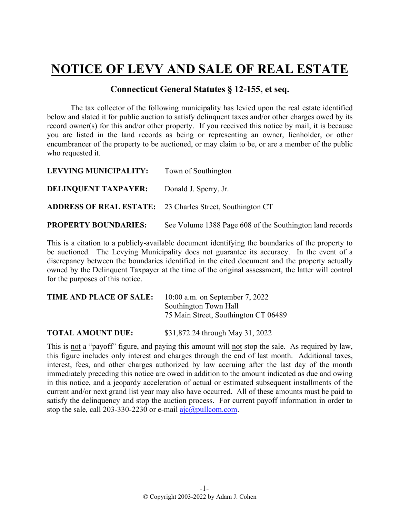## **NOTICE OF LEVY AND SALE OF REAL ESTATE**

## **Connecticut General Statutes § 12-155, et seq.**

The tax collector of the following municipality has levied upon the real estate identified below and slated it for public auction to satisfy delinquent taxes and/or other charges owed by its record owner(s) for this and/or other property. If you received this notice by mail, it is because you are listed in the land records as being or representing an owner, lienholder, or other encumbrancer of the property to be auctioned, or may claim to be, or are a member of the public who requested it.

| LEVYING MUNICIPALITY:       | Town of Southington                                              |
|-----------------------------|------------------------------------------------------------------|
| <b>DELINQUENT TAXPAYER:</b> | Donald J. Sperry, Jr.                                            |
|                             | <b>ADDRESS OF REAL ESTATE:</b> 23 Charles Street, Southington CT |
| <b>PROPERTY BOUNDARIES:</b> | See Volume 1388 Page 608 of the Southington land records         |

This is a citation to a publicly-available document identifying the boundaries of the property to be auctioned. The Levying Municipality does not guarantee its accuracy. In the event of a discrepancy between the boundaries identified in the cited document and the property actually owned by the Delinquent Taxpayer at the time of the original assessment, the latter will control for the purposes of this notice.

| <b>TIME AND PLACE OF SALE:</b> | $10:00$ a.m. on September 7, 2022    |
|--------------------------------|--------------------------------------|
|                                | Southington Town Hall                |
|                                | 75 Main Street, Southington CT 06489 |
|                                |                                      |

**TOTAL AMOUNT DUE:** \$31,872.24 through May 31, 2022

This is not a "payoff" figure, and paying this amount will not stop the sale. As required by law, this figure includes only interest and charges through the end of last month. Additional taxes, interest, fees, and other charges authorized by law accruing after the last day of the month immediately preceding this notice are owed in addition to the amount indicated as due and owing in this notice, and a jeopardy acceleration of actual or estimated subsequent installments of the current and/or next grand list year may also have occurred. All of these amounts must be paid to satisfy the delinquency and stop the auction process. For current payoff information in order to stop the sale, call 203-330-2230 or e-mail  $a$ jc $@p$ ullcom.com.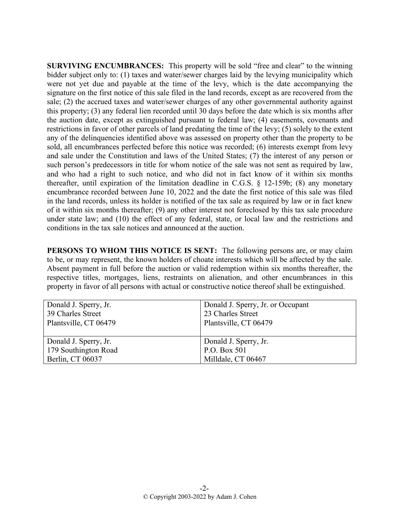**SURVIVING ENCUMBRANCES:** This property will be sold "free and clear" to the winning bidder subject only to: (1) taxes and water/sewer charges laid by the levying municipality which were not yet due and payable at the time of the levy, which is the date accompanying the signature on the first notice of this sale filed in the land records, except as are recovered from the sale; (2) the accrued taxes and water/sewer charges of any other governmental authority against this property; (3) any federal lien recorded until 30 days before the date which is six months after the auction date, except as extinguished pursuant to federal law; (4) easements, covenants and restrictions in favor of other parcels of land predating the time of the levy; (5) solely to the extent any of the delinquencies identified above was assessed on property other than the property to be sold, all encumbrances perfected before this notice was recorded; (6) interests exempt from levy and sale under the Constitution and laws of the United States; (7) the interest of any person or such person's predecessors in title for whom notice of the sale was not sent as required by law, and who had a right to such notice, and who did not in fact know of it within six months thereafter, until expiration of the limitation deadline in C.G.S. § 12-159b; (8) any monetary encumbrance recorded between June 10, 2022 and the date the first notice of this sale was filed in the land records, unless its holder is notified of the tax sale as required by law or in fact knew of it within six months thereafter; (9) any other interest not foreclosed by this tax sale procedure under state law; and (10) the effect of any federal, state, or local law and the restrictions and conditions in the tax sale notices and announced at the auction.

**PERSONS TO WHOM THIS NOTICE IS SENT:** The following persons are, or may claim to be, or may represent, the known holders of choate interests which will be affected by the sale. Absent payment in full before the auction or valid redemption within six months thereafter, the respective titles, mortgages, liens, restraints on alienation, and other encumbrances in this property in favor of all persons with actual or constructive notice thereof shall be extinguished.

| Donald J. Sperry, Jr. | Donald J. Sperry, Jr. or Occupant |
|-----------------------|-----------------------------------|
| 39 Charles Street     | 23 Charles Street                 |
| Plantsville, CT 06479 | Plantsville, CT 06479             |
|                       |                                   |
| Donald J. Sperry, Jr. | Donald J. Sperry, Jr.             |
| 179 Southington Road  | P.O. Box 501                      |
| Berlin, CT 06037      | Milldale, CT 06467                |